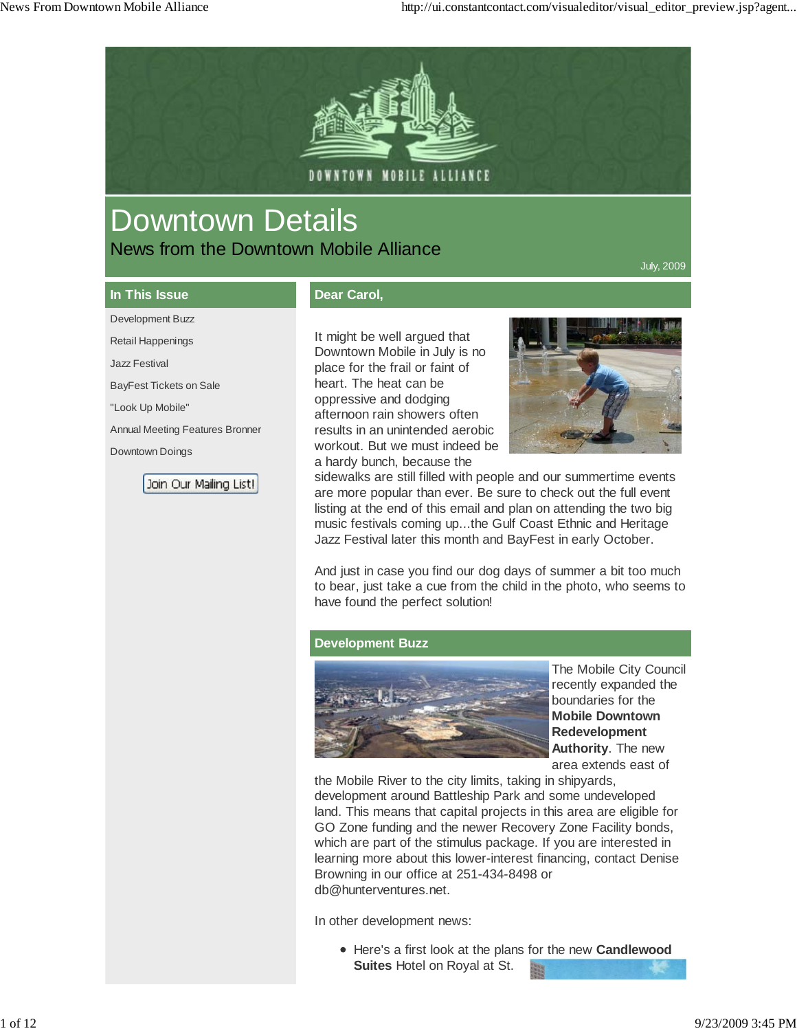

# Downtown Details News from the Downtown Mobile Alliance

July, 2009

# **In This Issue** Development Buzz

Retail Happenings Jazz Festival

"Look Up Mobile"

Downtown Doings

BayFest Tickets on Sale

Annual Meeting Features Bronner

Join Our Mailing List!

## **Dear Carol,**

It might be well argued that Downtown Mobile in July is no place for the frail or faint of heart. The heat can be oppressive and dodging afternoon rain showers often results in an unintended aerobic workout. But we must indeed be a hardy bunch, because the



sidewalks are still filled with people and our summertime events are more popular than ever. Be sure to check out the full event listing at the end of this email and plan on attending the two big music festivals coming up...the Gulf Coast Ethnic and Heritage Jazz Festival later this month and BayFest in early October.

And just in case you find our dog days of summer a bit too much to bear, just take a cue from the child in the photo, who seems to have found the perfect solution!

#### **Development Buzz**



The Mobile City Council recently expanded the boundaries for the **Mobile Downtown Redevelopment Authority**. The new area extends east of

the Mobile River to the city limits, taking in shipyards, development around Battleship Park and some undeveloped land. This means that capital projects in this area are eligible for GO Zone funding and the newer Recovery Zone Facility bonds, which are part of the stimulus package. If you are interested in learning more about this lower-interest financing, contact Denise Browning in our office at 251-434-8498 or db@hunterventures.net.

In other development news:

Here's a first look at the plans for the new **Candlewood Suites** Hotel on Royal at St.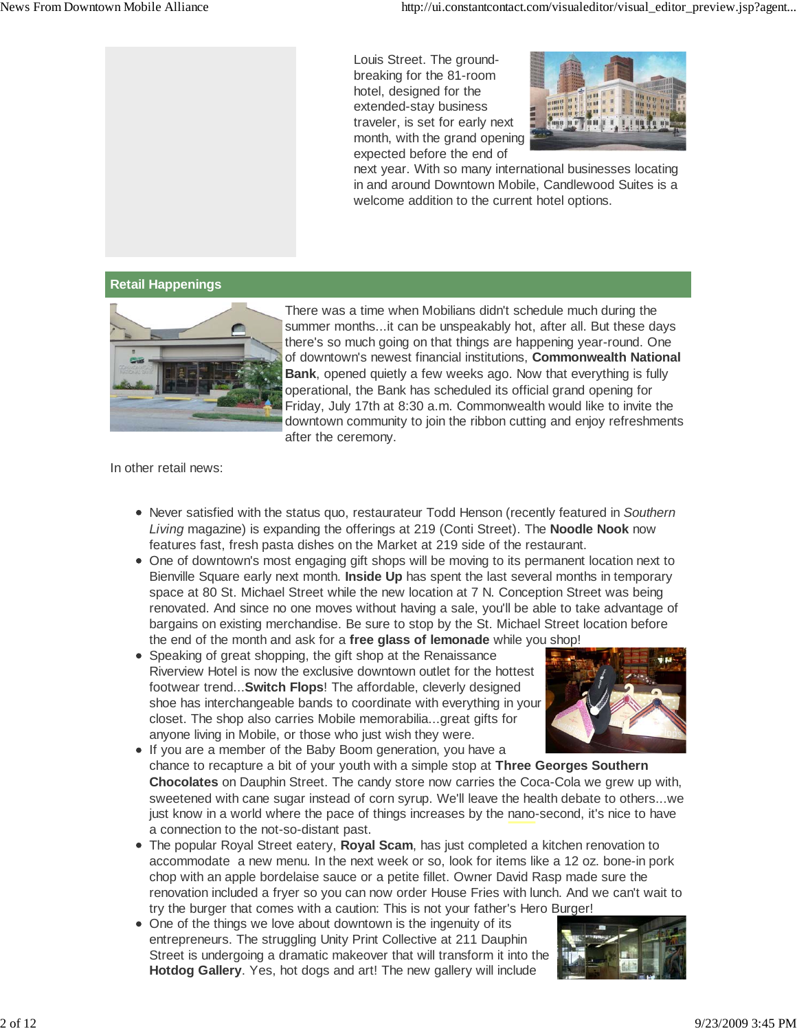Louis Street. The groundbreaking for the 81-room hotel, designed for the extended-stay business traveler, is set for early next month, with the grand opening expected before the end of



next year. With so many international businesses locating in and around Downtown Mobile, Candlewood Suites is a welcome addition to the current hotel options.

#### **Retail Happenings**



There was a time when Mobilians didn't schedule much during the summer months...it can be unspeakably hot, after all. But these days there's so much going on that things are happening year-round. One of downtown's newest financial institutions, **Commonwealth National Bank**, opened quietly a few weeks ago. Now that everything is fully operational, the Bank has scheduled its official grand opening for Friday, July 17th at 8:30 a.m. Commonwealth would like to invite the downtown community to join the ribbon cutting and enjoy refreshments after the ceremony.

In other retail news:

- Never satisfied with the status quo, restaurateur Todd Henson (recently featured in *Southern Living* magazine) is expanding the offerings at 219 (Conti Street). The **Noodle Nook** now features fast, fresh pasta dishes on the Market at 219 side of the restaurant.
- One of downtown's most engaging gift shops will be moving to its permanent location next to Bienville Square early next month. **Inside Up** has spent the last several months in temporary space at 80 St. Michael Street while the new location at 7 N. Conception Street was being renovated. And since no one moves without having a sale, you'll be able to take advantage of bargains on existing merchandise. Be sure to stop by the St. Michael Street location before the end of the month and ask for a **free glass of lemonade** while you shop!
- Speaking of great shopping, the gift shop at the Renaissance Riverview Hotel is now the exclusive downtown outlet for the hottest footwear trend...**Switch Flops**! The affordable, cleverly designed shoe has interchangeable bands to coordinate with everything in your closet. The shop also carries Mobile memorabilia...great gifts for anyone living in Mobile, or those who just wish they were.



- If you are a member of the Baby Boom generation, you have a chance to recapture a bit of your youth with a simple stop at **Three Georges Southern Chocolates** on Dauphin Street. The candy store now carries the Coca-Cola we grew up with, sweetened with cane sugar instead of corn syrup. We'll leave the health debate to others...we just know in a world where the pace of things increases by the nano-second, it's nice to have a connection to the not-so-distant past.
- The popular Royal Street eatery, **Royal Scam**, has just completed a kitchen renovation to accommodate a new menu. In the next week or so, look for items like a 12 oz. bone-in pork chop with an apple bordelaise sauce or a petite fillet. Owner David Rasp made sure the renovation included a fryer so you can now order House Fries with lunch. And we can't wait to try the burger that comes with a caution: This is not your father's Hero Burger!
- One of the things we love about downtown is the ingenuity of its entrepreneurs. The struggling Unity Print Collective at 211 Dauphin Street is undergoing a dramatic makeover that will transform it into the **Hotdog Gallery**. Yes, hot dogs and art! The new gallery will include

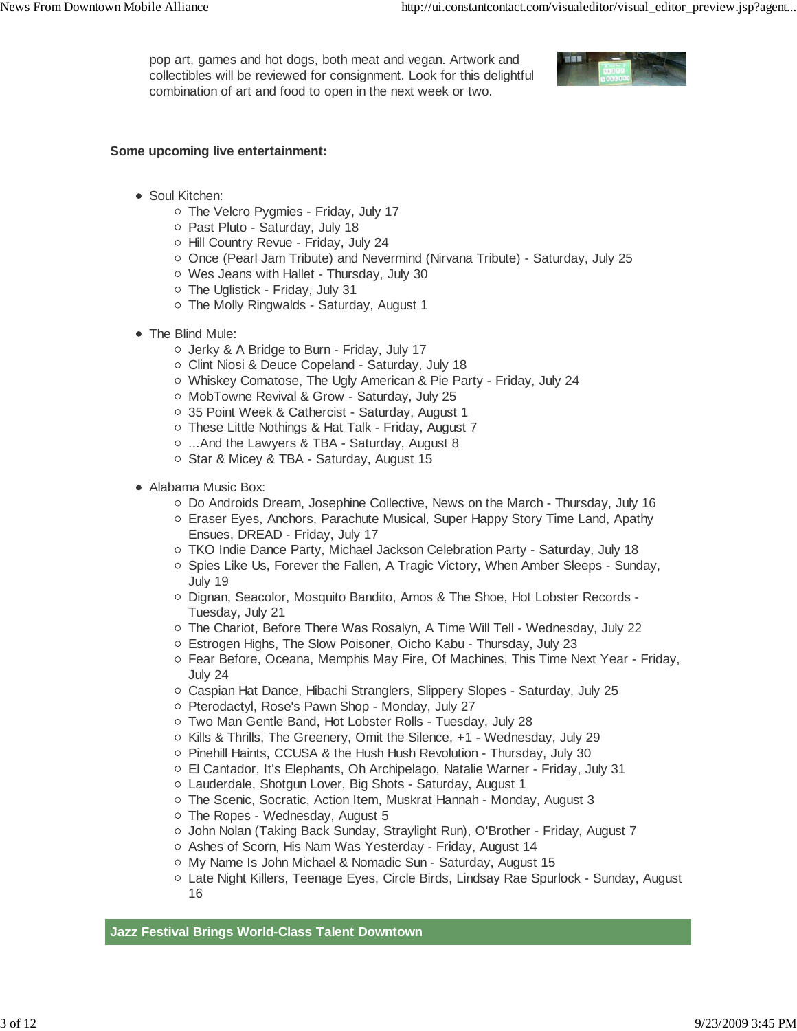pop art, games and hot dogs, both meat and vegan. Artwork and collectibles will be reviewed for consignment. Look for this delightful combination of art and food to open in the next week or two.



#### **Some upcoming live entertainment:**

- Soul Kitchen:
	- The Velcro Pygmies Friday, July 17
	- o Past Pluto Saturday, July 18
	- Hill Country Revue Friday, July 24
	- Once (Pearl Jam Tribute) and Nevermind (Nirvana Tribute) Saturday, July 25
	- Wes Jeans with Hallet Thursday, July 30
	- The Uglistick Friday, July 31
	- The Molly Ringwalds Saturday, August 1
- The Blind Mule:
	- Jerky & A Bridge to Burn Friday, July 17
	- o Clint Niosi & Deuce Copeland Saturday, July 18
	- Whiskey Comatose, The Ugly American & Pie Party Friday, July 24
	- o MobTowne Revival & Grow Saturday, July 25
	- 35 Point Week & Cathercist Saturday, August 1
	- o These Little Nothings & Hat Talk Friday, August 7
	- ...And the Lawyers & TBA Saturday, August 8
	- Star & Micey & TBA Saturday, August 15
- Alabama Music Box:
	- $\circ$  Do Androids Dream, Josephine Collective, News on the March Thursday, July 16
	- Eraser Eyes, Anchors, Parachute Musical, Super Happy Story Time Land, Apathy Ensues, DREAD - Friday, July 17
	- TKO Indie Dance Party, Michael Jackson Celebration Party Saturday, July 18
	- o Spies Like Us, Forever the Fallen, A Tragic Victory, When Amber Sleeps Sunday, July 19
	- Dignan, Seacolor, Mosquito Bandito, Amos & The Shoe, Hot Lobster Records -Tuesday, July 21
	- $\circ$  The Chariot, Before There Was Rosalyn, A Time Will Tell Wednesday, July 22
	- Estrogen Highs, The Slow Poisoner, Oicho Kabu Thursday, July 23
	- Fear Before, Oceana, Memphis May Fire, Of Machines, This Time Next Year Friday, July 24
	- Caspian Hat Dance, Hibachi Stranglers, Slippery Slopes Saturday, July 25
	- o Pterodactyl, Rose's Pawn Shop Monday, July 27
	- Two Man Gentle Band, Hot Lobster Rolls Tuesday, July 28
	- o Kills & Thrills, The Greenery, Omit the Silence, +1 Wednesday, July 29
	- o Pinehill Haints, CCUSA & the Hush Hush Revolution Thursday, July 30
	- El Cantador, It's Elephants, Oh Archipelago, Natalie Warner Friday, July 31
	- Lauderdale, Shotgun Lover, Big Shots Saturday, August 1
	- The Scenic, Socratic, Action Item, Muskrat Hannah Monday, August 3
	- o The Ropes Wednesday, August 5
	- o John Nolan (Taking Back Sunday, Straylight Run), O'Brother Friday, August 7
	- o Ashes of Scorn, His Nam Was Yesterday Friday, August 14
	- My Name Is John Michael & Nomadic Sun Saturday, August 15
	- Late Night Killers, Teenage Eyes, Circle Birds, Lindsay Rae Spurlock Sunday, August 16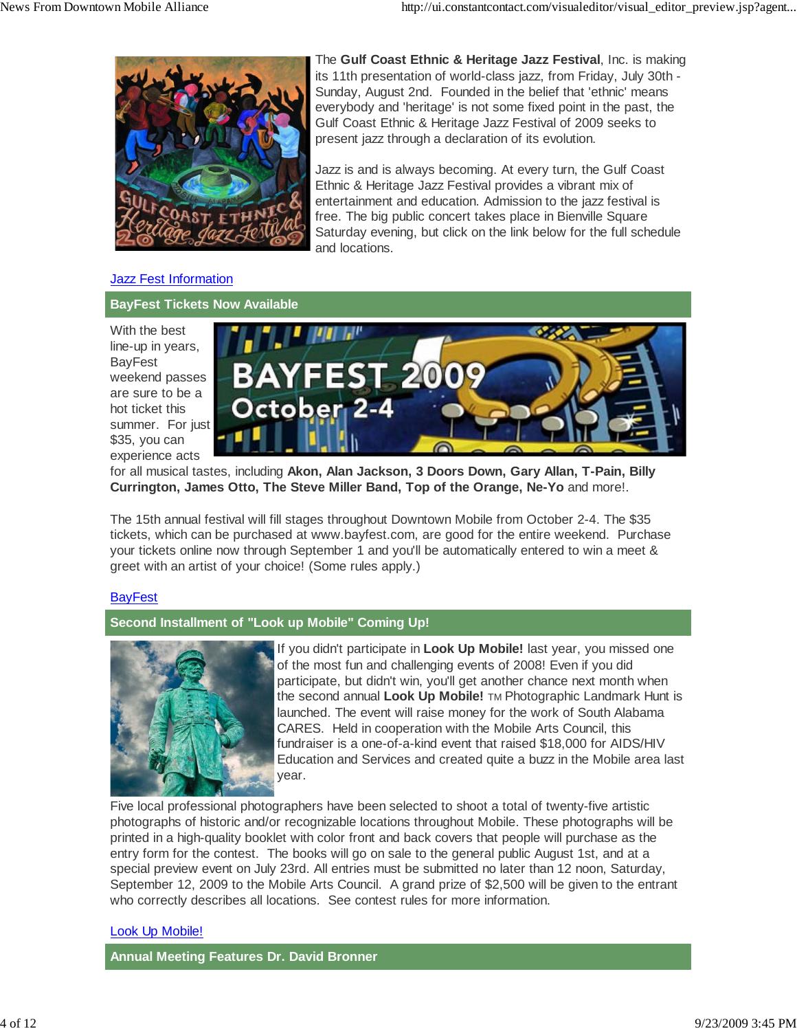

The **Gulf Coast Ethnic & Heritage Jazz Festival**, Inc. is making its 11th presentation of world-class jazz, from Friday, July 30th - Sunday, August 2nd. Founded in the belief that 'ethnic' means everybody and 'heritage' is not some fixed point in the past, the Gulf Coast Ethnic & Heritage Jazz Festival of 2009 seeks to present jazz through a declaration of its evolution.

Jazz is and is always becoming. At every turn, the Gulf Coast Ethnic & Heritage Jazz Festival provides a vibrant mix of entertainment and education. Admission to the jazz festival is free. The big public concert takes place in Bienville Square Saturday evening, but click on the link below for the full schedule and locations.

#### **Jazz Fest Information**

#### **BayFest Tickets Now Available**

With the best line-up in years, BayFest weekend passes are sure to be a hot ticket this summer. For just \$35, you can experience acts



for all musical tastes, including **Akon, Alan Jackson, 3 Doors Down, Gary Allan, T-Pain, Billy Currington, James Otto, The Steve Miller Band, Top of the Orange, Ne-Yo** and more!.

The 15th annual festival will fill stages throughout Downtown Mobile from October 2-4. The \$35 tickets, which can be purchased at www.bayfest.com, are good for the entire weekend. Purchase your tickets online now through September 1 and you'll be automatically entered to win a meet & greet with an artist of your choice! (Some rules apply.)

#### **BayFest**

## **Second Installment of "Look up Mobile" Coming Up!**



If you didn't participate in **Look Up Mobile!** last year, you missed one of the most fun and challenging events of 2008! Even if you did participate, but didn't win, you'll get another chance next month when the second annual **Look Up Mobile!** TM Photographic Landmark Hunt is launched. The event will raise money for the work of South Alabama CARES. Held in cooperation with the Mobile Arts Council, this fundraiser is a one-of-a-kind event that raised \$18,000 for AIDS/HIV Education and Services and created quite a buzz in the Mobile area last year.

Five local professional photographers have been selected to shoot a total of twenty-five artistic photographs of historic and/or recognizable locations throughout Mobile. These photographs will be printed in a high-quality booklet with color front and back covers that people will purchase as the entry form for the contest. The books will go on sale to the general public August 1st, and at a special preview event on July 23rd. All entries must be submitted no later than 12 noon, Saturday, September 12, 2009 to the Mobile Arts Council. A grand prize of \$2,500 will be given to the entrant who correctly describes all locations. See contest rules for more information.

#### Look Up Mobile!

**Annual Meeting Features Dr. David Bronner**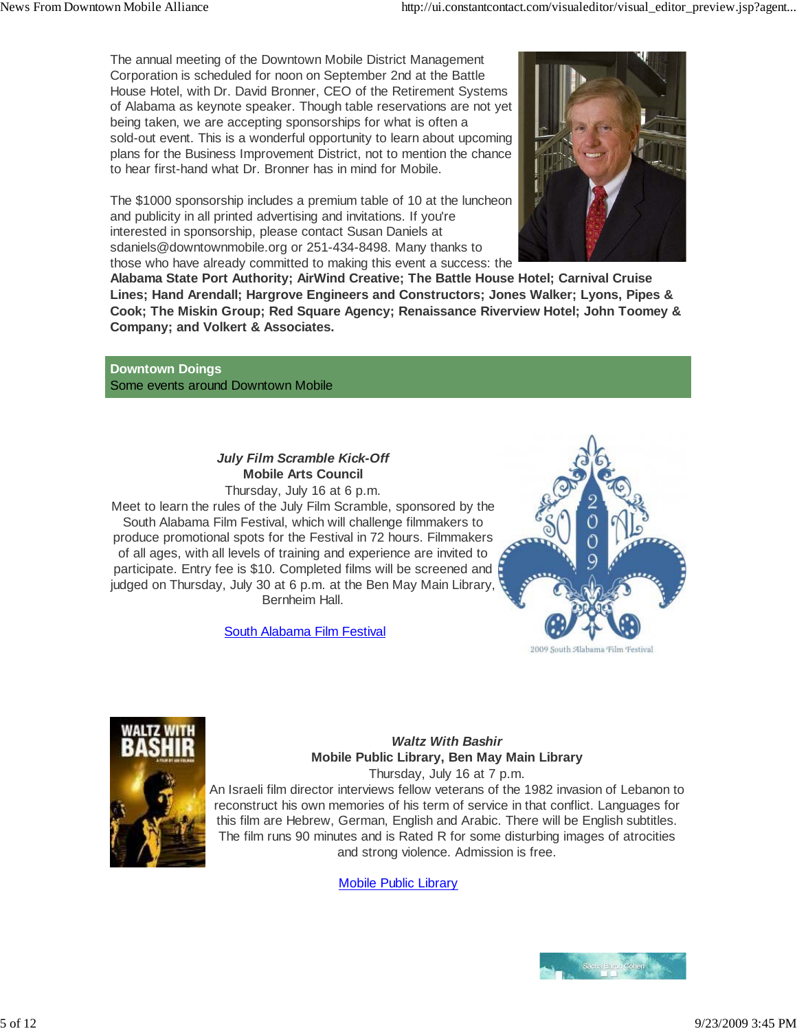The annual meeting of the Downtown Mobile District Management Corporation is scheduled for noon on September 2nd at the Battle House Hotel, with Dr. David Bronner, CEO of the Retirement Systems of Alabama as keynote speaker. Though table reservations are not yet being taken, we are accepting sponsorships for what is often a sold-out event. This is a wonderful opportunity to learn about upcoming plans for the Business Improvement District, not to mention the chance to hear first-hand what Dr. Bronner has in mind for Mobile.

The \$1000 sponsorship includes a premium table of 10 at the luncheon and publicity in all printed advertising and invitations. If you're interested in sponsorship, please contact Susan Daniels at sdaniels@downtownmobile.org or 251-434-8498. Many thanks to those who have already committed to making this event a success: the



**Alabama State Port Authority; AirWind Creative; The Battle House Hotel; Carnival Cruise Lines; Hand Arendall; Hargrove Engineers and Constructors; Jones Walker; Lyons, Pipes & Cook; The Miskin Group; Red Square Agency; Renaissance Riverview Hotel; John Toomey & Company; and Volkert & Associates.**

**Downtown Doings** Some events around Downtown Mobile

# *July Film Scramble Kick-Off* **Mobile Arts Council**

Thursday, July 16 at 6 p.m.

Meet to learn the rules of the July Film Scramble, sponsored by the South Alabama Film Festival, which will challenge filmmakers to produce promotional spots for the Festival in 72 hours. Filmmakers of all ages, with all levels of training and experience are invited to participate. Entry fee is \$10. Completed films will be screened and judged on Thursday, July 30 at 6 p.m. at the Ben May Main Library, Bernheim Hall.

South Alabama Film Festival





#### *Waltz With Bashir* **Mobile Public Library, Ben May Main Library** Thursday, July 16 at 7 p.m.

An Israeli film director interviews fellow veterans of the 1982 invasion of Lebanon to reconstruct his own memories of his term of service in that conflict. Languages for this film are Hebrew, German, English and Arabic. There will be English subtitles. The film runs 90 minutes and is Rated R for some disturbing images of atrocities and strong violence. Admission is free.

Mobile Public Library

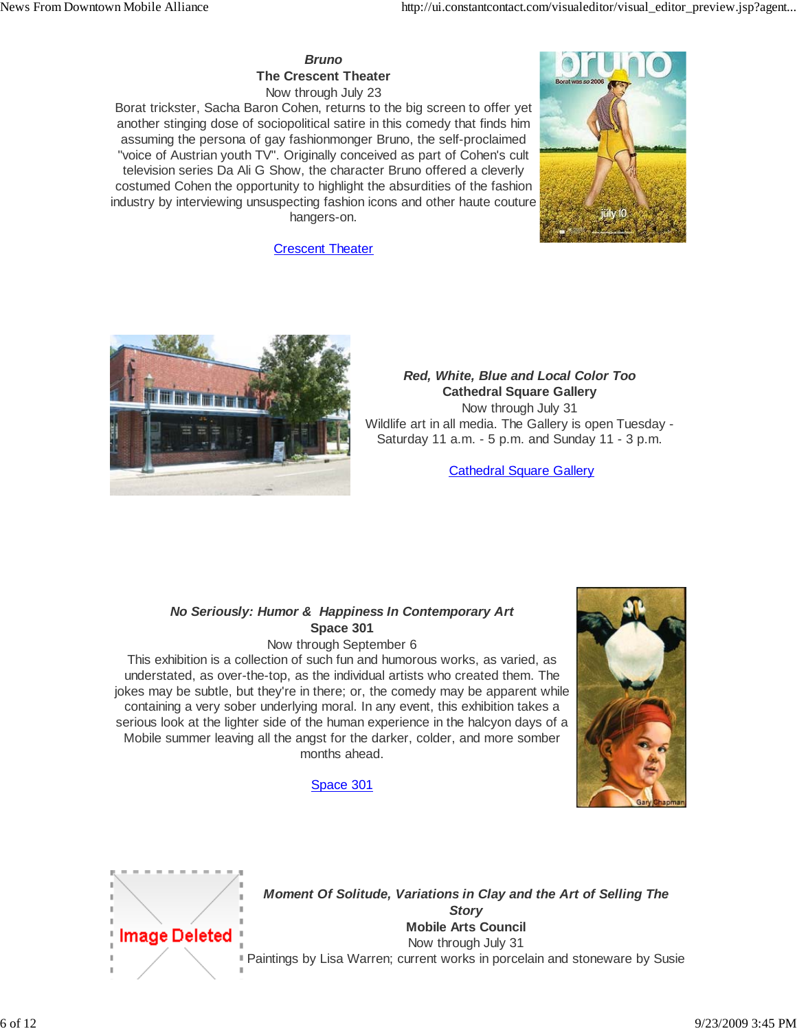*Bruno* **The Crescent Theater** Now through July 23

Borat trickster, Sacha Baron Cohen, returns to the big screen to offer yet another stinging dose of sociopolitical satire in this comedy that finds him assuming the persona of gay fashionmonger Bruno, the self-proclaimed "voice of Austrian youth TV". Originally conceived as part of Cohen's cult television series Da Ali G Show, the character Bruno offered a cleverly costumed Cohen the opportunity to highlight the absurdities of the fashion industry by interviewing unsuspecting fashion icons and other haute couture hangers-on.



**Crescent Theater** 



# *Red, White, Blue and Local Color Too* **Cathedral Square Gallery**

Now through July 31 Wildlife art in all media. The Gallery is open Tuesday - Saturday 11 a.m. - 5 p.m. and Sunday 11 - 3 p.m.

**Cathedral Square Gallery** 

## *No Seriously: Humor & Happiness In Contemporary Art* **Space 301**

Now through September 6

This exhibition is a collection of such fun and humorous works, as varied, as understated, as over-the-top, as the individual artists who created them. The jokes may be subtle, but they're in there; or, the comedy may be apparent while containing a very sober underlying moral. In any event, this exhibition takes a serious look at the lighter side of the human experience in the halcyon days of a Mobile summer leaving all the angst for the darker, colder, and more somber months ahead.

## Space 301





*Moment Of Solitude, Variations in Clay and the Art of Selling The Story* **Mobile Arts Council** Now through July 31 Paintings by Lisa Warren; current works in porcelain and stoneware by Susie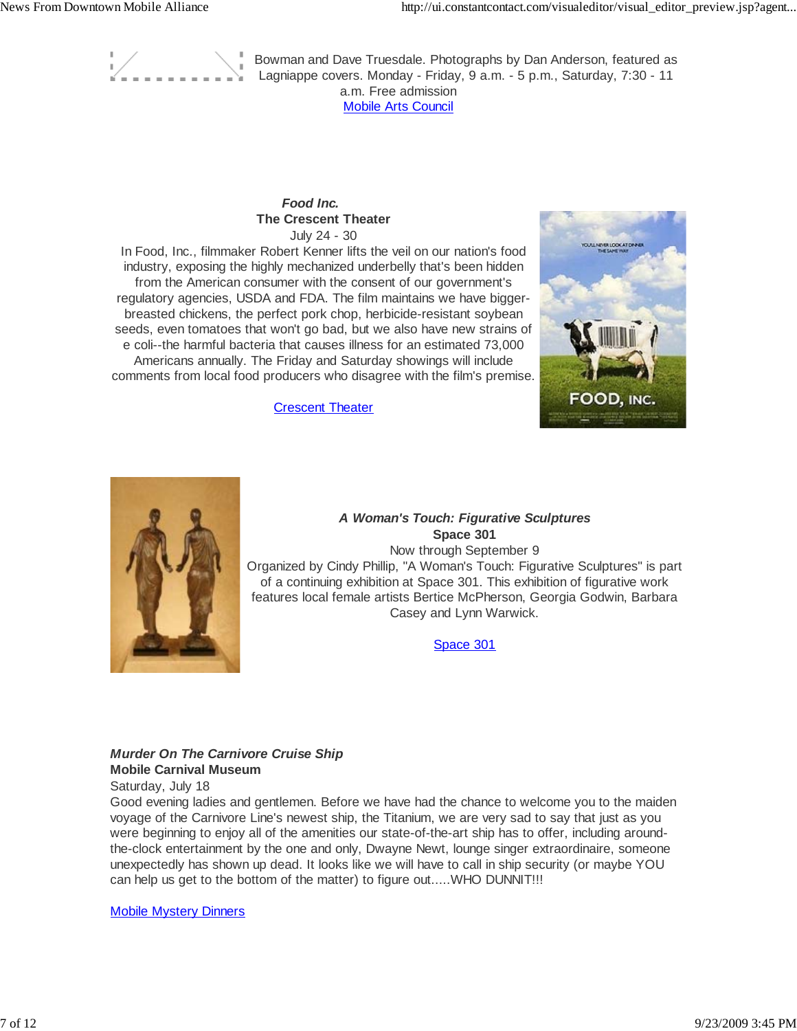

Bowman and Dave Truesdale. Photographs by Dan Anderson, featured as Lagniappe covers. Monday - Friday, 9 a.m. - 5 p.m., Saturday, 7:30 - 11 a.m. Free admission Mobile Arts Council

#### *Food Inc.* **The Crescent Theater** July 24 - 30

In Food, Inc., filmmaker Robert Kenner lifts the veil on our nation's food industry, exposing the highly mechanized underbelly that's been hidden from the American consumer with the consent of our government's regulatory agencies, USDA and FDA. The film maintains we have biggerbreasted chickens, the perfect pork chop, herbicide-resistant soybean seeds, even tomatoes that won't go bad, but we also have new strains of e coli--the harmful bacteria that causes illness for an estimated 73,000 Americans annually. The Friday and Saturday showings will include comments from local food producers who disagree with the film's premise.



**Crescent Theater** 



#### *A Woman's Touch: Figurative Sculptures* **Space 301**

Now through September 9 Organized by Cindy Phillip, "A Woman's Touch: Figurative Sculptures" is part of a continuing exhibition at Space 301. This exhibition of figurative work features local female artists Bertice McPherson, Georgia Godwin, Barbara Casey and Lynn Warwick.

Space 301

#### *Murder On The Carnivore Cruise Ship* **Mobile Carnival Museum**

Saturday, July 18

Good evening ladies and gentlemen. Before we have had the chance to welcome you to the maiden voyage of the Carnivore Line's newest ship, the Titanium, we are very sad to say that just as you were beginning to enjoy all of the amenities our state-of-the-art ship has to offer, including aroundthe-clock entertainment by the one and only, Dwayne Newt, lounge singer extraordinaire, someone unexpectedly has shown up dead. It looks like we will have to call in ship security (or maybe YOU can help us get to the bottom of the matter) to figure out.....WHO DUNNIT!!!

Mobile Mystery Dinners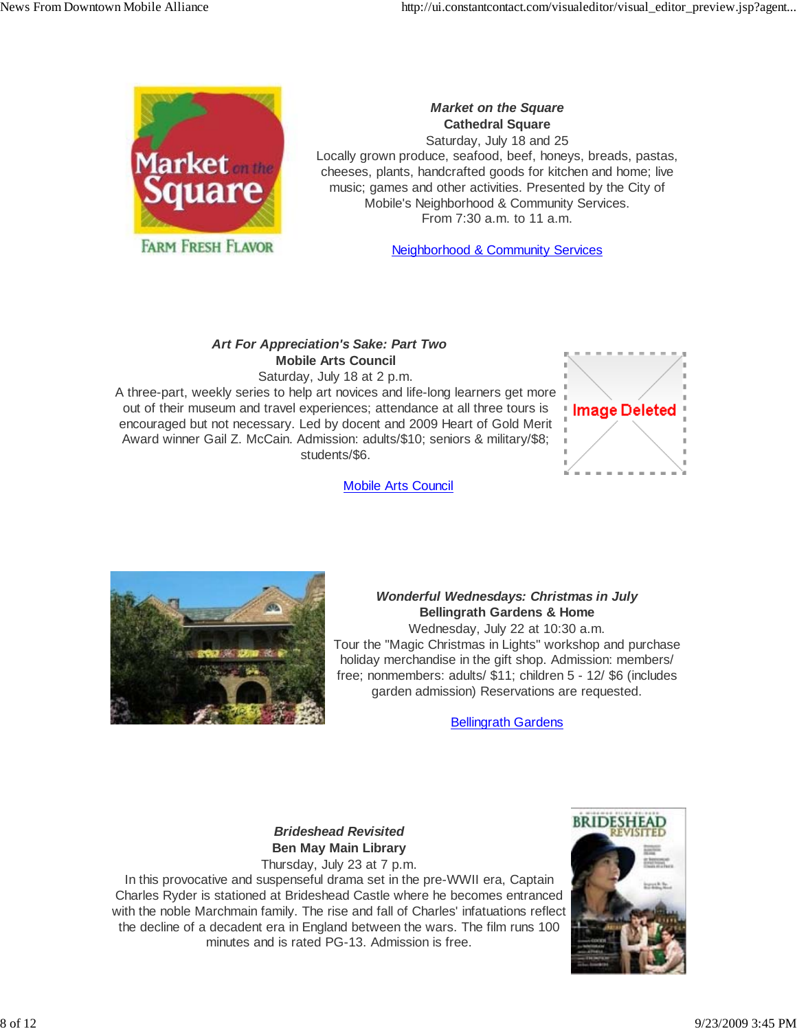

*Market on the Square* **Cathedral Square** Saturday, July 18 and 25 Locally grown produce, seafood, beef, honeys, breads, pastas, cheeses, plants, handcrafted goods for kitchen and home; live music; games and other activities. Presented by the City of Mobile's Neighborhood & Community Services. From 7:30 a.m. to 11 a.m.

Neighborhood & Community Services

# *Art For Appreciation's Sake: Part Two* **Mobile Arts Council**

Saturday, July 18 at 2 p.m. A three-part, weekly series to help art novices and life-long learners get more out of their museum and travel experiences; attendance at all three tours is encouraged but not necessary. Led by docent and 2009 Heart of Gold Merit Award winner Gail Z. McCain. Admission: adults/\$10; seniors & military/\$8; students/\$6.



Mobile Arts Council



# *Wonderful Wednesdays: Christmas in July* **Bellingrath Gardens & Home**

Wednesday, July 22 at 10:30 a.m. Tour the "Magic Christmas in Lights" workshop and purchase holiday merchandise in the gift shop. Admission: members/ free; nonmembers: adults/ \$11; children 5 - 12/ \$6 (includes garden admission) Reservations are requested.

**Bellingrath Gardens** 

# *Brideshead Revisited* **Ben May Main Library**

Thursday, July 23 at 7 p.m. In this provocative and suspenseful drama set in the pre-WWII era, Captain Charles Ryder is stationed at Brideshead Castle where he becomes entranced with the noble Marchmain family. The rise and fall of Charles' infatuations reflect the decline of a decadent era in England between the wars. The film runs 100 minutes and is rated PG-13. Admission is free.

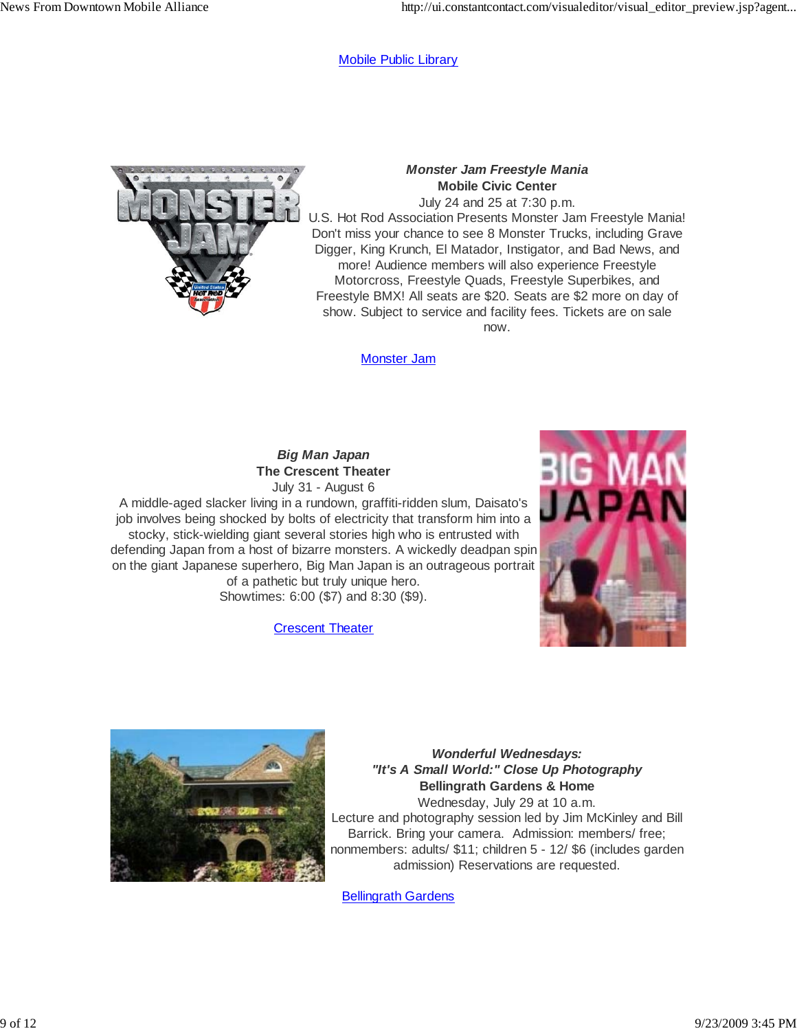#### Mobile Public Library



*Monster Jam Freestyle Mania* **Mobile Civic Center**

July 24 and 25 at 7:30 p.m. U.S. Hot Rod Association Presents Monster Jam Freestyle Mania! Don't miss your chance to see 8 Monster Trucks, including Grave Digger, King Krunch, El Matador, Instigator, and Bad News, and more! Audience members will also experience Freestyle Motorcross, Freestyle Quads, Freestyle Superbikes, and Freestyle BMX! All seats are \$20. Seats are \$2 more on day of show. Subject to service and facility fees. Tickets are on sale now.

Monster Jam

#### *Big Man Japan* **The Crescent Theater** July 31 - August 6

A middle-aged slacker living in a rundown, graffiti-ridden slum, Daisato's job involves being shocked by bolts of electricity that transform him into a stocky, stick-wielding giant several stories high who is entrusted with defending Japan from a host of bizarre monsters. A wickedly deadpan spin on the giant Japanese superhero, Big Man Japan is an outrageous portrait of a pathetic but truly unique hero. Showtimes: 6:00 (\$7) and 8:30 (\$9).

Crescent Theater





*Wonderful Wednesdays: "It's A Small World:" Close Up Photography* **Bellingrath Gardens & Home** Wednesday, July 29 at 10 a.m. Lecture and photography session led by Jim McKinley and Bill Barrick. Bring your camera. Admission: members/ free; nonmembers: adults/ \$11; children 5 - 12/ \$6 (includes garden admission) Reservations are requested.

Bellingrath Gardens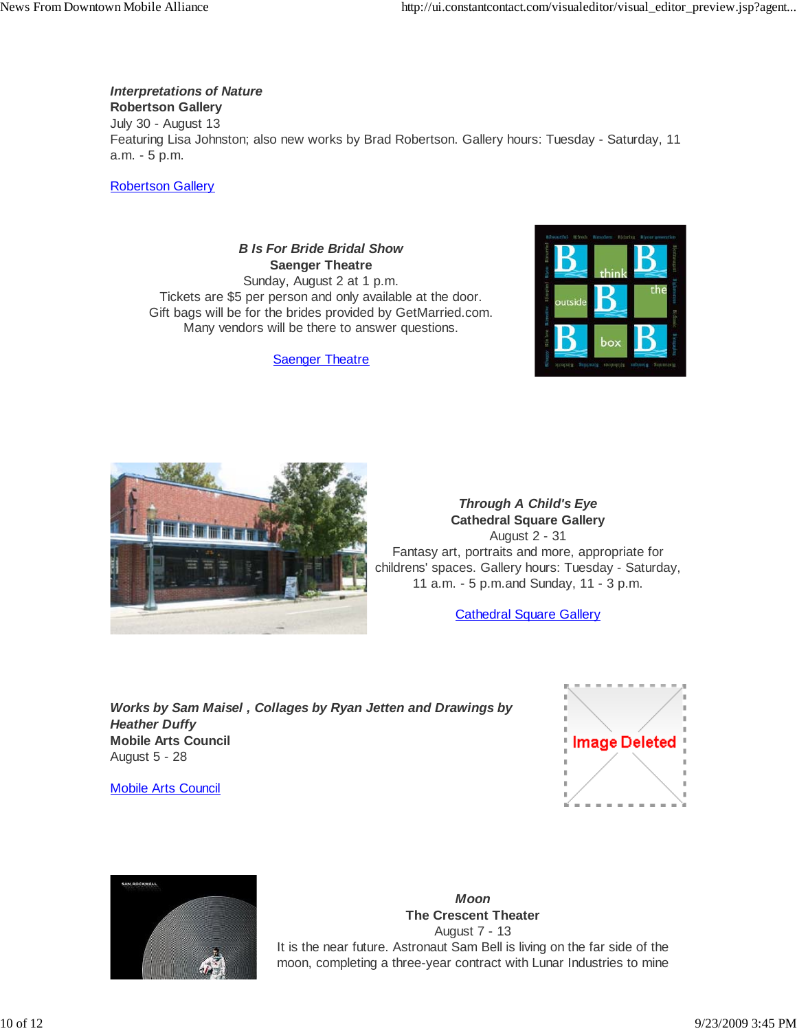*Interpretations of Nature*

**Robertson Gallery**

July 30 - August 13 Featuring Lisa Johnston; also new works by Brad Robertson. Gallery hours: Tuesday - Saturday, 11 a.m. - 5 p.m.

Robertson Gallery

*B Is For Bride Bridal Show* **Saenger Theatre** Sunday, August 2 at 1 p.m. Tickets are \$5 per person and only available at the door. Gift bags will be for the brides provided by GetMarried.com. Many vendors will be there to answer questions.

Saenger Theatre





*Through A Child's Eye* **Cathedral Square Gallery** August 2 - 31 Fantasy art, portraits and more, appropriate for childrens' spaces. Gallery hours: Tuesday - Saturday, 11 a.m. - 5 p.m.and Sunday, 11 - 3 p.m.

Cathedral Square Gallery

*Works by Sam Maisel , Collages by Ryan Jetten and Drawings by Heather Duffy* **Mobile Arts Council** August 5 - 28

Mobile Arts Council





*Moon* **The Crescent Theater** August 7 - 13 It is the near future. Astronaut Sam Bell is living on the far side of the moon, completing a three-year contract with Lunar Industries to mine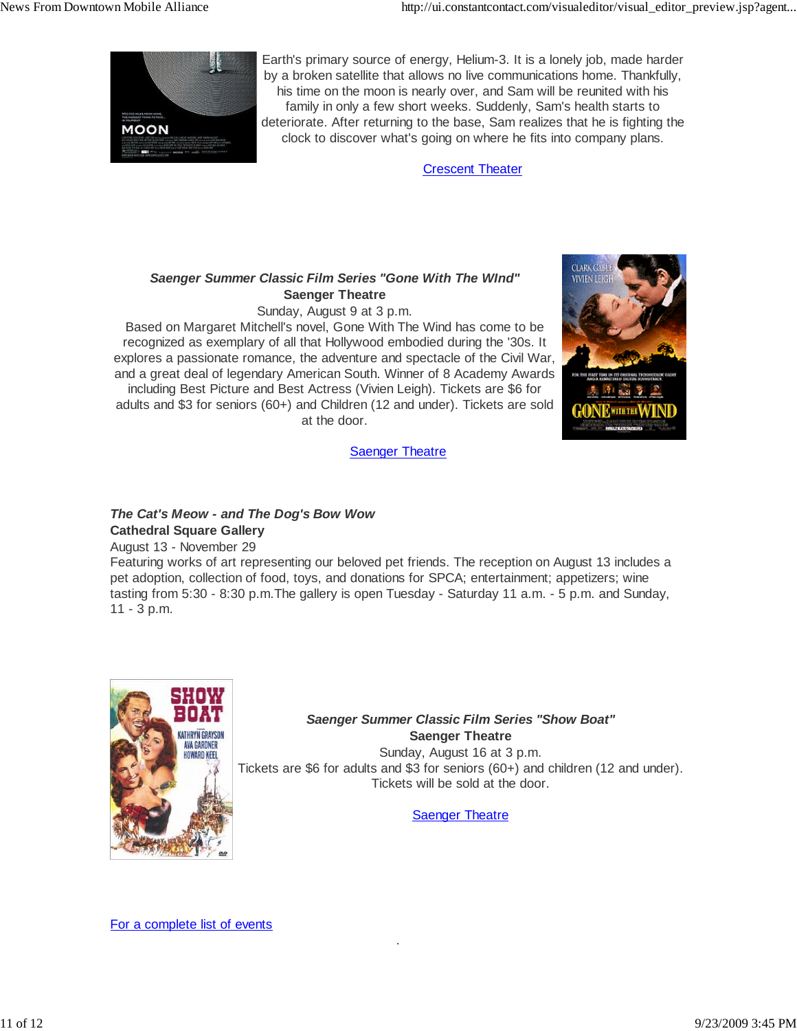

Earth's primary source of energy, Helium-3. It is a lonely job, made harder by a broken satellite that allows no live communications home. Thankfully, his time on the moon is nearly over, and Sam will be reunited with his family in only a few short weeks. Suddenly, Sam's health starts to deteriorate. After returning to the base, Sam realizes that he is fighting the clock to discover what's going on where he fits into company plans.

Crescent Theater

## *Saenger Summer Classic Film Series "Gone With The WInd"* **Saenger Theatre**

Sunday, August 9 at 3 p.m.

Based on Margaret Mitchell's novel, Gone With The Wind has come to be recognized as exemplary of all that Hollywood embodied during the '30s. It explores a passionate romance, the adventure and spectacle of the Civil War, and a great deal of legendary American South. Winner of 8 Academy Awards including Best Picture and Best Actress (Vivien Leigh). Tickets are \$6 for adults and \$3 for seniors (60+) and Children (12 and under). Tickets are sold at the door.



**Saenger Theatre** 

# *The Cat's Meow - and The Dog's Bow Wow* **Cathedral Square Gallery**

August 13 - November 29

Featuring works of art representing our beloved pet friends. The reception on August 13 includes a pet adoption, collection of food, toys, and donations for SPCA; entertainment; appetizers; wine tasting from 5:30 - 8:30 p.m.The gallery is open Tuesday - Saturday 11 a.m. - 5 p.m. and Sunday, 11 - 3 p.m.

.



# *Saenger Summer Classic Film Series "Show Boat"* **Saenger Theatre**

Sunday, August 16 at 3 p.m. Tickets are \$6 for adults and \$3 for seniors (60+) and children (12 and under). Tickets will be sold at the door.

Saenger Theatre

For a complete list of events